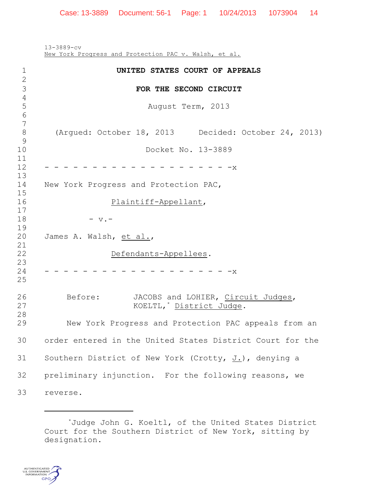13-3889-cv New York Progress and Protection PAC v. Walsh, et al. **UNITED STATES COURT OF APPEALS FOR THE SECOND CIRCUIT** August Term, 2013 (Argued: October 18, 2013 Decided: October 24, 2013) Docket No. 13-3889  $-$  - - - - - - - - - - - - - - - - - -  $-$  New York Progress and Protection PAC, Plaintiff-Appellant,  $18 - v. -$  James A. Walsh, et al., Defendants-Appellees. - - - - - - - - - - - - - - - - - - - -x Before: JACOBS and LOHIER, Circuit Judges, 27 KOELTL,<sup>\*</sup> District Judge. New York Progress and Protection PAC appeals from an order entered in the United States District Court for the Southern District of New York (Crotty, J.), denying a preliminary injunction. For the following reasons, we reverse.

<sup>\*</sup>Judge John G. Koeltl, of the United States District Court for the Southern District of New York, sitting by designation.

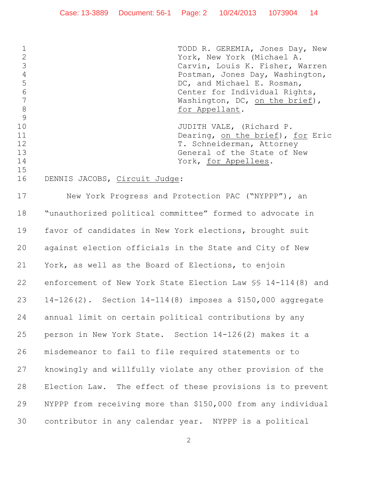1 TODD R. GEREMIA, Jones Day, New York, New York (Michael A. Carvin, Louis K. Fisher, Warren Postman, Jones Day, Washington, 5 DC, and Michael E. Rosman, Center for Individual Rights, 7 Washington, DC, on the brief), 8 for Appellant. 10 JUDITH VALE, (Richard P. 11 Dearing, on the brief), for Eric 12 T. Schneiderman, Attorney 13 General of the State of New 14 York, for Appellees. DENNIS JACOBS, Circuit Judge:

 New York Progress and Protection PAC ("NYPPP"), an "unauthorized political committee" formed to advocate in favor of candidates in New York elections, brought suit against election officials in the State and City of New York, as well as the Board of Elections, to enjoin enforcement of New York State Election Law §§ 14-114(8) and 14-126(2). Section 14-114(8) imposes a \$150,000 aggregate annual limit on certain political contributions by any person in New York State. Section 14-126(2) makes it a misdemeanor to fail to file required statements or to knowingly and willfully violate any other provision of the Election Law. The effect of these provisions is to prevent NYPPP from receiving more than \$150,000 from any individual contributor in any calendar year. NYPPP is a political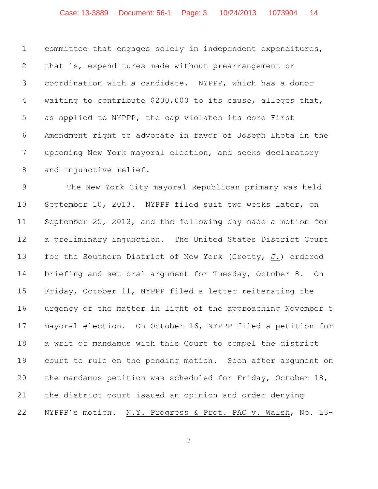committee that engages solely in independent expenditures, that is, expenditures made without prearrangement or coordination with a candidate. NYPPP, which has a donor waiting to contribute \$200,000 to its cause, alleges that, as applied to NYPPP, the cap violates its core First Amendment right to advocate in favor of Joseph Lhota in the upcoming New York mayoral election, and seeks declaratory and injunctive relief.

 The New York City mayoral Republican primary was held September 10, 2013. NYPPP filed suit two weeks later, on September 25, 2013, and the following day made a motion for a preliminary injunction. The United States District Court for the Southern District of New York (Crotty, J.) ordered briefing and set oral argument for Tuesday, October 8. On Friday, October 11, NYPPP filed a letter reiterating the urgency of the matter in light of the approaching November 5 mayoral election. On October 16, NYPPP filed a petition for a writ of mandamus with this Court to compel the district court to rule on the pending motion. Soon after argument on the mandamus petition was scheduled for Friday, October 18, the district court issued an opinion and order denying NYPPP's motion. N.Y. Progress & Prot. PAC v. Walsh, No. 13-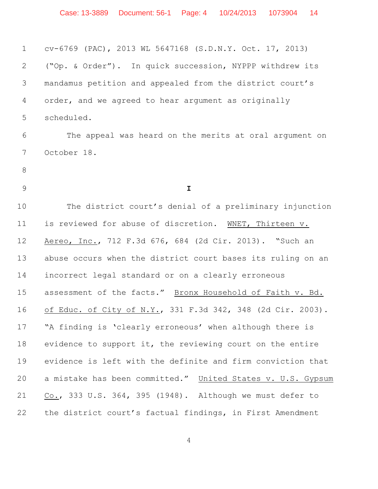cv-6769 (PAC), 2013 WL 5647168 (S.D.N.Y. Oct. 17, 2013) ("Op. & Order"). In quick succession, NYPPP withdrew its mandamus petition and appealed from the district court's order, and we agreed to hear argument as originally scheduled. The appeal was heard on the merits at oral argument on October 18. **I** The district court's denial of a preliminary injunction is reviewed for abuse of discretion. WNET, Thirteen v. Aereo, Inc., 712 F.3d 676, 684 (2d Cir. 2013). "Such an abuse occurs when the district court bases its ruling on an incorrect legal standard or on a clearly erroneous assessment of the facts." Bronx Household of Faith v. Bd. of Educ. of City of N.Y., 331 F.3d 342, 348 (2d Cir. 2003). "A finding is 'clearly erroneous' when although there is evidence to support it, the reviewing court on the entire evidence is left with the definite and firm conviction that 20 a mistake has been committed." United States v. U.S. Gypsum Co., 333 U.S. 364, 395 (1948). Although we must defer to the district court's factual findings, in First Amendment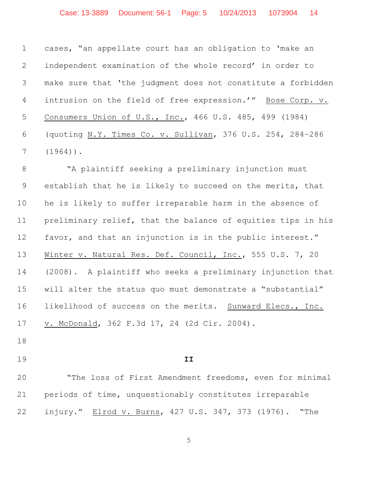cases, "an appellate court has an obligation to 'make an independent examination of the whole record' in order to make sure that 'the judgment does not constitute a forbidden intrusion on the field of free expression.'" Bose Corp. v. Consumers Union of U.S., Inc., 466 U.S. 485, 499 (1984) (quoting N.Y. Times Co. v. Sullivan, 376 U.S. 254, 284–286 (1964)).

 "A plaintiff seeking a preliminary injunction must establish that he is likely to succeed on the merits, that he is likely to suffer irreparable harm in the absence of preliminary relief, that the balance of equities tips in his favor, and that an injunction is in the public interest." Winter v. Natural Res. Def. Council, Inc., 555 U.S. 7, 20 (2008). A plaintiff who seeks a preliminary injunction that will alter the status quo must demonstrate a "substantial" likelihood of success on the merits. Sunward Elecs., Inc. v. McDonald, 362 F.3d 17, 24 (2d Cir. 2004).

- 
- 

## **II**

 "The loss of First Amendment freedoms, even for minimal periods of time, unquestionably constitutes irreparable injury." Elrod v. Burns, 427 U.S. 347, 373 (1976). "The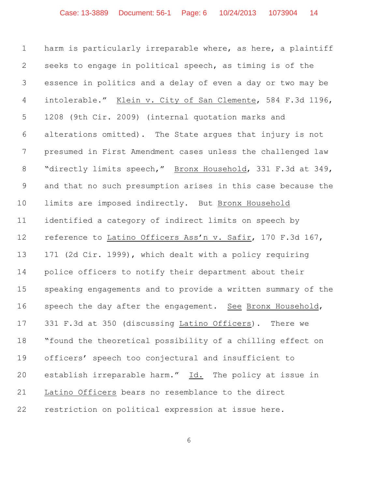harm is particularly irreparable where, as here, a plaintiff seeks to engage in political speech, as timing is of the essence in politics and a delay of even a day or two may be intolerable." Klein v. City of San Clemente, 584 F.3d 1196, 1208 (9th Cir. 2009) (internal quotation marks and alterations omitted). The State argues that injury is not presumed in First Amendment cases unless the challenged law 8 "directly limits speech," Bronx Household, 331 F.3d at 349, and that no such presumption arises in this case because the limits are imposed indirectly. But Bronx Household identified a category of indirect limits on speech by reference to Latino Officers Ass'n v. Safir, 170 F.3d 167, 171 (2d Cir. 1999), which dealt with a policy requiring police officers to notify their department about their speaking engagements and to provide a written summary of the 16 speech the day after the engagement. See Bronx Household, 331 F.3d at 350 (discussing Latino Officers). There we "found the theoretical possibility of a chilling effect on officers' speech too conjectural and insufficient to establish irreparable harm." Id. The policy at issue in Latino Officers bears no resemblance to the direct restriction on political expression at issue here.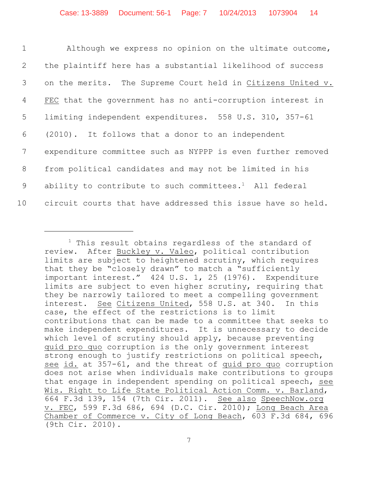| $\mathbf 1$    | Although we express no opinion on the ultimate outcome,            |
|----------------|--------------------------------------------------------------------|
| 2              | the plaintiff here has a substantial likelihood of success         |
| $\mathcal{S}$  | on the merits. The Supreme Court held in Citizens United v.        |
| $\overline{4}$ | FEC that the government has no anti-corruption interest in         |
| 5              | limiting independent expenditures. 558 U.S. 310, 357-61            |
| 6              | (2010). It follows that a donor to an independent                  |
| 7              | expenditure committee such as NYPPP is even further removed        |
| 8              | from political candidates and may not be limited in his            |
| 9              | ability to contribute to such committees. <sup>1</sup> All federal |
| 10             | circuit courts that have addressed this issue have so held.        |

 $1$  This result obtains regardless of the standard of review. After Buckley v. Valeo, political contribution limits are subject to heightened scrutiny, which requires that they be "closely drawn" to match a "sufficiently important interest." 424 U.S. 1, 25 (1976). Expenditure limits are subject to even higher scrutiny, requiring that they be narrowly tailored to meet a compelling government interest. See Citizens United, 558 U.S. at 340. In this case, the effect of the restrictions is to limit contributions that can be made to a committee that seeks to make independent expenditures. It is unnecessary to decide which level of scrutiny should apply, because preventing quid pro quo corruption is the only government interest strong enough to justify restrictions on political speech, see id. at 357-61, and the threat of quid pro quo corruption does not arise when individuals make contributions to groups that engage in independent spending on political speech, see Wis. Right to Life State Political Action Comm. v. Barland, 664 F.3d 139, 154 (7th Cir. 2011). See also SpeechNow.org v. FEC, 599 F.3d 686, 694 (D.C. Cir. 2010); Long Beach Area Chamber of Commerce v. City of Long Beach, 603 F.3d 684, 696 (9th Cir. 2010).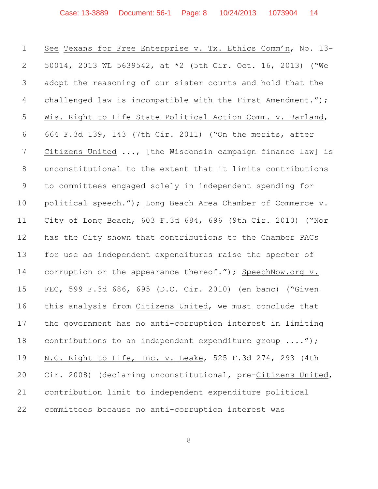| $\mathbf 1$     | See Texans for Free Enterprise v. Tx. Ethics Comm'n, No. 13- |
|-----------------|--------------------------------------------------------------|
| 2               | 50014, 2013 WL 5639542, at *2 (5th Cir. Oct. 16, 2013) ("We  |
| 3               | adopt the reasoning of our sister courts and hold that the   |
| 4               | challenged law is incompatible with the First Amendment.");  |
| 5               | Wis. Right to Life State Political Action Comm. v. Barland,  |
| 6               | 664 F.3d 139, 143 (7th Cir. 2011) ("On the merits, after     |
| $7\phantom{.0}$ | Citizens United , [the Wisconsin campaign finance law] is    |
| 8               | unconstitutional to the extent that it limits contributions  |
| 9               | to committees engaged solely in independent spending for     |
| 10              | political speech."); Long Beach Area Chamber of Commerce v.  |
| 11              | City of Long Beach, 603 F.3d 684, 696 (9th Cir. 2010) ("Nor  |
| 12              | has the City shown that contributions to the Chamber PACs    |
| 13              | for use as independent expenditures raise the specter of     |
| 14              | corruption or the appearance thereof."); SpeechNow.org v.    |
| 15              | FEC, 599 F.3d 686, 695 (D.C. Cir. 2010) (en banc) ("Given    |
| 16              | this analysis from Citizens United, we must conclude that    |
| 17              | the government has no anti-corruption interest in limiting   |
| 18              | contributions to an independent expenditure group ");        |
| 19              | N.C. Right to Life, Inc. v. Leake, 525 F.3d 274, 293 (4th    |
| 20              | Cir. 2008) (declaring unconstitutional, pre-Citizens United, |
| 21              | contribution limit to independent expenditure political      |
| 22              | committees because no anti-corruption interest was           |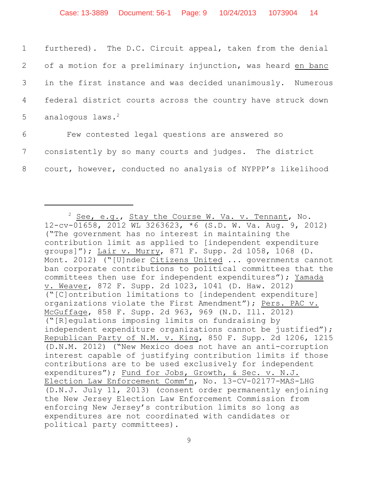| $1 \quad \blacksquare$ | furthered). The D.C. Circuit appeal, taken from the denial    |
|------------------------|---------------------------------------------------------------|
|                        | 2 of a motion for a preliminary injunction, was heard en banc |
|                        | 3 in the first instance and was decided unanimously. Numerous |
|                        | 4 federal district courts across the country have struck down |
|                        | 5 analogous laws. $2$                                         |
|                        |                                                               |

6 Few contested legal questions are answered so 7 consistently by so many courts and judges. The district 8 court, however, conducted no analysis of NYPPP's likelihood

 $^2$  See, e.g., Stay the Course W. Va. v. Tennant, No. 12-cv-01658, 2012 WL 3263623, \*6 (S.D. W. Va. Aug. 9, 2012) ("The government has no interest in maintaining the contribution limit as applied to [independent expenditure groups]"); Lair v. Murry, 871 F. Supp. 2d 1058, 1068 (D. Mont. 2012) ("[U]nder Citizens United ... governments cannot ban corporate contributions to political committees that the committees then use for independent expenditures"); Yamada v. Weaver, 872 F. Supp. 2d 1023, 1041 (D. Haw. 2012) ("[C]ontribution limitations to [independent expenditure] organizations violate the First Amendment"); Pers. PAC v. McGuffage, 858 F. Supp. 2d 963, 969 (N.D. Ill. 2012) ("[R]egulations imposing limits on fundraising by independent expenditure organizations cannot be justified"); Republican Party of N.M. v. King, 850 F. Supp. 2d 1206, 1215 (D.N.M. 2012) ("New Mexico does not have an anti-corruption interest capable of justifying contribution limits if those contributions are to be used exclusively for independent expenditures"); Fund for Jobs, Growth, & Sec. v. N.J. Election Law Enforcement Comm'n, No. 13-CV-02177-MAS-LHG (D.N.J. July 11, 2013) (consent order permanently enjoining the New Jersey Election Law Enforcement Commission from enforcing New Jersey's contribution limits so long as expenditures are not coordinated with candidates or political party committees).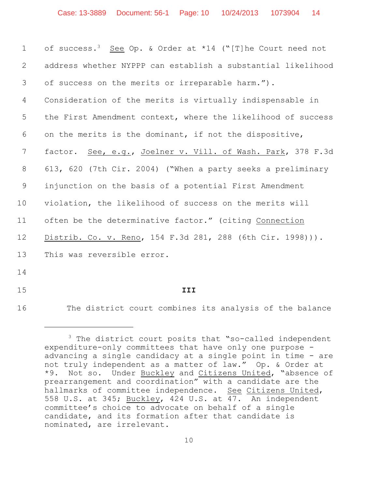| $\mathbf 1$     | of success. <sup>3</sup> See Op. & Order at *14 ("[T]he Court need not |
|-----------------|------------------------------------------------------------------------|
| 2               | address whether NYPPP can establish a substantial likelihood           |
| 3               | of success on the merits or irreparable harm.").                       |
| 4               | Consideration of the merits is virtually indispensable in              |
| 5               | the First Amendment context, where the likelihood of success           |
| 6               | on the merits is the dominant, if not the dispositive,                 |
| 7               | See, e.g., Joelner v. Vill. of Wash. Park, 378 F.3d<br>factor.         |
| 8               | 613, 620 (7th Cir. 2004) ("When a party seeks a preliminary            |
| 9               | injunction on the basis of a potential First Amendment                 |
| 10 <sub>o</sub> | violation, the likelihood of success on the merits will                |
| 11              | often be the determinative factor." (citing Connection                 |
| 12              | Distrib. Co. v. Reno, 154 F.3d 281, 288 (6th Cir. 1998))).             |
| 13              | This was reversible error.                                             |
| 14              |                                                                        |
| 15              | III                                                                    |

The district court combines its analysis of the balance

 The district court posits that "so-called independent expenditure-only committees that have only one purpose advancing a single candidacy at a single point in time - are not truly independent as a matter of law." Op. & Order at \*9. Not so. Under Buckley and Citizens United, "absence of prearrangement and coordination" with a candidate are the hallmarks of committee independence. See Citizens United, 558 U.S. at 345; Buckley, 424 U.S. at 47. An independent committee's choice to advocate on behalf of a single candidate, and its formation after that candidate is nominated, are irrelevant.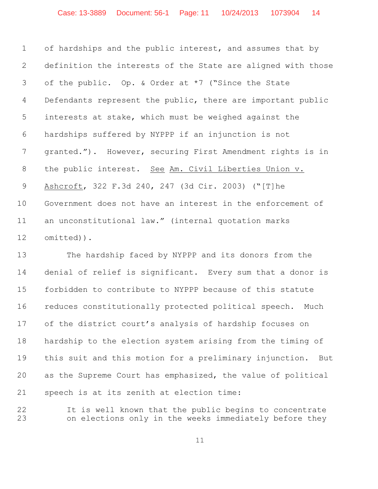of hardships and the public interest, and assumes that by definition the interests of the State are aligned with those of the public. Op. & Order at \*7 ("Since the State 4 Defendants represent the public, there are important public interests at stake, which must be weighed against the hardships suffered by NYPPP if an injunction is not granted."). However, securing First Amendment rights is in the public interest. See Am. Civil Liberties Union v. Ashcroft, 322 F.3d 240, 247 (3d Cir. 2003) ("[T]he Government does not have an interest in the enforcement of an unconstitutional law." (internal quotation marks omitted)).

 The hardship faced by NYPPP and its donors from the denial of relief is significant. Every sum that a donor is forbidden to contribute to NYPPP because of this statute reduces constitutionally protected political speech. Much of the district court's analysis of hardship focuses on hardship to the election system arising from the timing of this suit and this motion for a preliminary injunction. But as the Supreme Court has emphasized, the value of political speech is at its zenith at election time:

 It is well known that the public begins to concentrate on elections only in the weeks immediately before they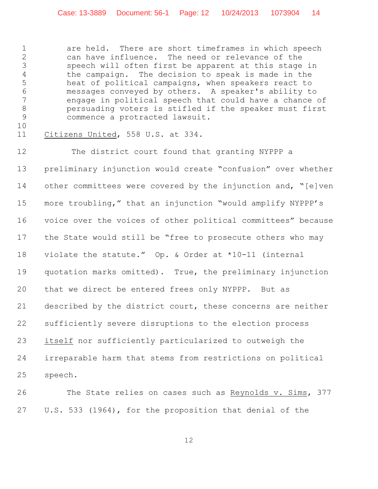are held. There are short timeframes in which speech can have influence. The need or relevance of the speech will often first be apparent at this stage in the campaign. The decision to speak is made in the heat of political campaigns, when speakers react to messages conveyed by others. A speaker's ability to engage in political speech that could have a chance of persuading voters is stifled if the speaker must first commence a protracted lawsuit.

Citizens United, 558 U.S. at 334.

12 The district court found that granting NYPPP a preliminary injunction would create "confusion" over whether 14 other committees were covered by the injunction and, "[e]ven more troubling," that an injunction "would amplify NYPPP's voice over the voices of other political committees" because 17 the State would still be "free to prosecute others who may violate the statute." Op. & Order at \*10-11 (internal quotation marks omitted). True, the preliminary injunction that we direct be entered frees only NYPPP. But as described by the district court, these concerns are neither sufficiently severe disruptions to the election process itself nor sufficiently particularized to outweigh the irreparable harm that stems from restrictions on political speech.

The State relies on cases such as Reynolds v. Sims, 377 U.S. 533 (1964), for the proposition that denial of the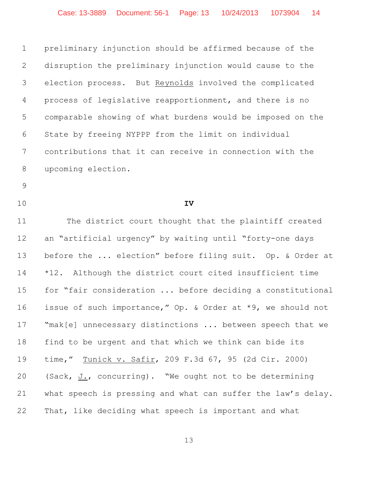preliminary injunction should be affirmed because of the disruption the preliminary injunction would cause to the election process. But Reynolds involved the complicated process of legislative reapportionment, and there is no comparable showing of what burdens would be imposed on the State by freeing NYPPP from the limit on individual contributions that it can receive in connection with the upcoming election.

- 
- 

**IV**

 The district court thought that the plaintiff created an "artificial urgency" by waiting until "forty-one days before the ... election" before filing suit. Op. & Order at \*12. Although the district court cited insufficient time for "fair consideration ... before deciding a constitutional issue of such importance," Op. & Order at \*9, we should not 17 "mak[e] unnecessary distinctions ... between speech that we find to be urgent and that which we think can bide its time," Tunick v. Safir, 209 F.3d 67, 95 (2d Cir. 2000) (Sack, J., concurring). "We ought not to be determining what speech is pressing and what can suffer the law's delay. That, like deciding what speech is important and what